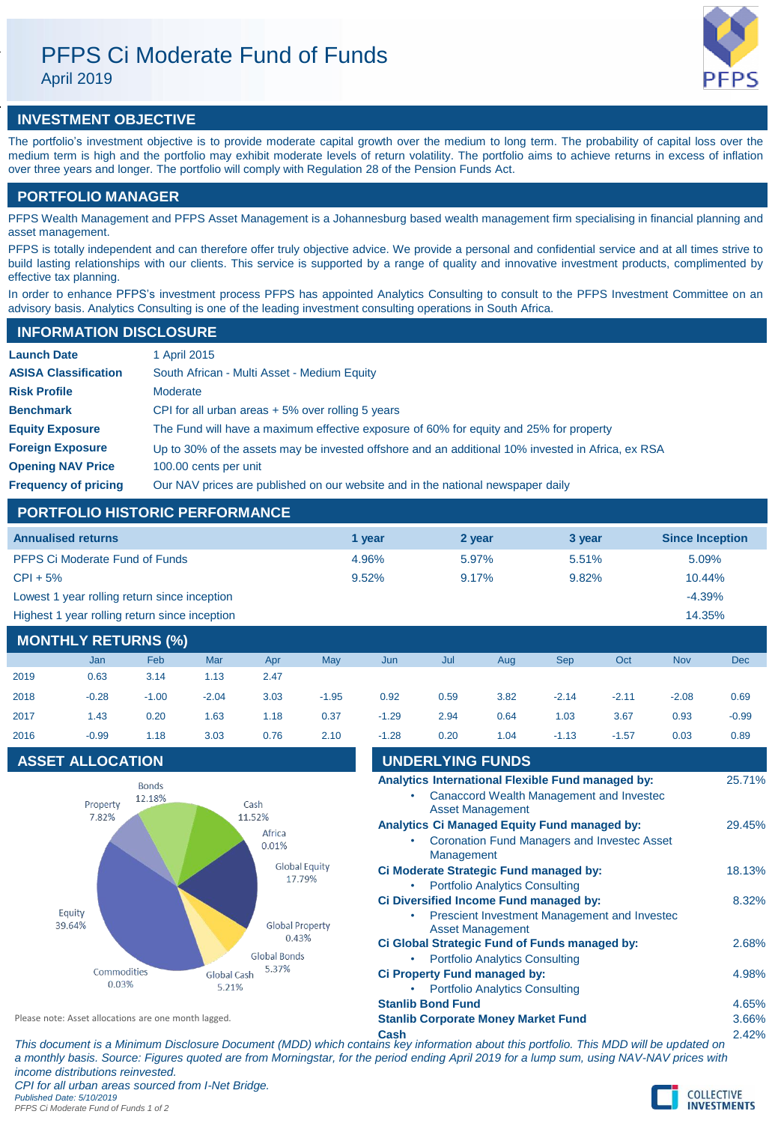# PFPS Ci Moderate Fund of Funds

April 2019



## **INVESTMENT OBJECTIVE**

The portfolio's investment objective is to provide moderate capital growth over the medium to long term. The probability of capital loss over the medium term is high and the portfolio may exhibit moderate levels of return volatility. The portfolio aims to achieve returns in excess of inflation over three years and longer. The portfolio will comply with Regulation 28 of the Pension Funds Act.

## **PORTFOLIO MANAGER**

PFPS Wealth Management and PFPS Asset Management is a Johannesburg based wealth management firm specialising in financial planning and asset management.

PFPS is totally independent and can therefore offer truly objective advice. We provide a personal and confidential service and at all times strive to build lasting relationships with our clients. This service is supported by a range of quality and innovative investment products, complimented by effective tax planning.

In order to enhance PFPS's investment process PFPS has appointed Analytics Consulting to consult to the PFPS Investment Committee on an advisory basis. Analytics Consulting is one of the leading investment consulting operations in South Africa.

| <b>INFORMATION DISCLOSURE</b> |                                                                                                   |
|-------------------------------|---------------------------------------------------------------------------------------------------|
| <b>Launch Date</b>            | 1 April 2015                                                                                      |
| <b>ASISA Classification</b>   | South African - Multi Asset - Medium Equity                                                       |
| <b>Risk Profile</b>           | Moderate                                                                                          |
| <b>Benchmark</b>              | CPI for all urban areas $+5\%$ over rolling 5 years                                               |
| <b>Equity Exposure</b>        | The Fund will have a maximum effective exposure of 60% for equity and 25% for property            |
| <b>Foreign Exposure</b>       | Up to 30% of the assets may be invested offshore and an additional 10% invested in Africa, ex RSA |
| <b>Opening NAV Price</b>      | 100.00 cents per unit                                                                             |
| <b>Frequency of pricing</b>   | Our NAV prices are published on our website and in the national newspaper daily                   |

## **PORTFOLIO HISTORIC PERFORMANCE**

| <b>Annualised returns</b>                     | 1 vear | 2 year   | 3 year | <b>Since Inception</b> |
|-----------------------------------------------|--------|----------|--------|------------------------|
| <b>PFPS Ci Moderate Fund of Funds</b>         | 4.96%  | $5.97\%$ | 5.51%  | 5.09%                  |
| $CPI + 5%$                                    | 9.52%  | 9.17%    | 9.82%  | $10.44\%$              |
| Lowest 1 year rolling return since inception  |        |          |        | $-4.39%$               |
| Highest 1 year rolling return since inception |        |          |        | 14.35%                 |
|                                               |        |          |        |                        |

## **MONTHLY RETURNS (%)**

|      | Jan     | Feb     | Mar     | Apr  | May     | Jun     | Jul  | Aug  | <b>Sep</b> | Oct     | <b>Nov</b> | <b>Dec</b> |
|------|---------|---------|---------|------|---------|---------|------|------|------------|---------|------------|------------|
| 2019 | 0.63    | 3.14    | 1.13    | 2.47 |         |         |      |      |            |         |            |            |
| 2018 | $-0.28$ | $-1.00$ | $-2.04$ | 3.03 | $-1.95$ | 0.92    | 0.59 | 3.82 | $-2.14$    | $-2.11$ | $-2.08$    | 0.69       |
| 2017 | 1.43    | 0.20    | 1.63    | 1.18 | 0.37    | $-1.29$ | 2.94 | 0.64 | 1.03       | 3.67    | 0.93       | $-0.99$    |
| 2016 | $-0.99$ | 1.18    | 3.03    | 0.76 | 2.10    | $-1.28$ | 0.20 | 1.04 | $-1.13$    | $-1.57$ | 0.03       | 0.89       |

## **ASSET ALLOCATION**



| 2016                                                 | $-0.99$<br>1.18                                                                                                                       | 3.03                 | 0.76                                                     | 2.10 | $-1.28$ | 0.20                     | 1.04                                                                                   | $-1.13$                                                                                            | $-1.57$ | 0.03  | 0.89   |
|------------------------------------------------------|---------------------------------------------------------------------------------------------------------------------------------------|----------------------|----------------------------------------------------------|------|---------|--------------------------|----------------------------------------------------------------------------------------|----------------------------------------------------------------------------------------------------|---------|-------|--------|
|                                                      | <b>ASSET ALLOCATION</b>                                                                                                               |                      |                                                          |      |         | <b>UNDERLYING FUNDS</b>  |                                                                                        |                                                                                                    |         |       |        |
|                                                      | <b>Bonds</b><br>12.18%<br>Property<br>7.82%                                                                                           |                      | Cash                                                     |      |         |                          | <b>Asset Management</b>                                                                | Analytics International Flexible Fund managed by:<br>Canaccord Wealth Management and Invested      |         |       | 25.71% |
|                                                      |                                                                                                                                       |                      | 11.52%<br>Africa<br>0.01%                                |      | ٠       | Management               |                                                                                        | Analytics Ci Managed Equity Fund managed by:<br><b>Coronation Fund Managers and Invested Asset</b> |         |       | 29.45% |
|                                                      |                                                                                                                                       |                      | <b>Global Equity</b><br>17.79%<br><b>Global Property</b> |      | ٠       |                          | <b>Portfolio Analytics Consulting</b>                                                  | Ci Moderate Strategic Fund managed by:                                                             |         |       | 18.13% |
| Equity<br>39.64%                                     |                                                                                                                                       |                      |                                                          |      |         | <b>Asset Management</b>  | Ci Diversified Income Fund managed by:<br>Prescient Investment Management and Invested |                                                                                                    |         | 8.32% |        |
|                                                      |                                                                                                                                       |                      | 0.43%<br>Global Bonds                                    |      |         |                          | <b>Portfolio Analytics Consulting</b>                                                  | Ci Global Strategic Fund of Funds managed by:                                                      |         |       | 2.68%  |
|                                                      | Commodities<br>0.03%                                                                                                                  | Global Cash<br>5.21% | 5.37%                                                    |      |         |                          | Ci Property Fund managed by:<br><b>Portfolio Analytics Consulting</b>                  |                                                                                                    |         |       | 4.98%  |
|                                                      |                                                                                                                                       |                      |                                                          |      |         | <b>Stanlib Bond Fund</b> |                                                                                        |                                                                                                    |         |       | 4.65%  |
| Please note: Asset allocations are one month lagged. |                                                                                                                                       |                      |                                                          |      |         |                          | <b>Stanlib Corporate Money Market Fund</b>                                             |                                                                                                    |         |       | 3.66%  |
|                                                      | This document is a Minimum Disclosure Decument (MDD) which contains low information about this partfolio. This MDD will be undeted an |                      |                                                          |      | Cash    |                          |                                                                                        |                                                                                                    |         |       | 2.42%  |

**Cash** 2.42% *This document is a Minimum Disclosure Document (MDD) which contains key information about this portfolio. This MDD will be updated on a monthly basis. Source: Figures quoted are from Morningstar, for the period ending April 2019 for a lump sum, using NAV-NAV prices with income distributions reinvested. CPI for all urban areas sourced from I-Net Bridge. Published Date: 5/10/2019 PFPS Ci Moderate Fund of Funds 1 of 2*